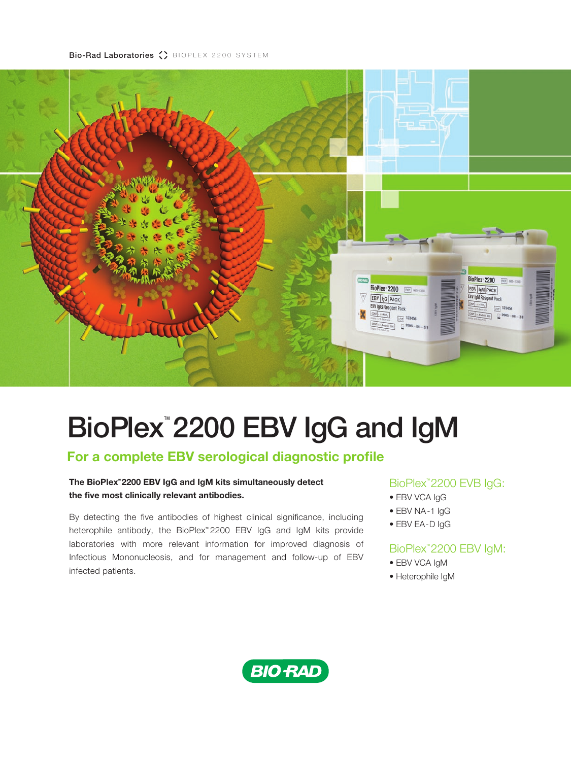Bio-Rad Laboratories () BIOPLEX 2200 SYSTEM



# BioPlex<sup>™</sup> 2200 EBV IgG and IgM

# **For a complete EBV serological diagnostic profile**

### **The BioPlex™ 2200 EBV IgG and IgM kits simultaneously detect the five most clinically relevant antibodies.**

By detecting the five antibodies of highest clinical significance, including heterophile antibody, the BioPlex™ 2200 EBV IgG and IgM kits provide laboratories with more relevant information for improved diagnosis of Infectious Mononucleosis, and for management and follow-up of EBV infected patients.

## BioPlex™ 2200 EVB IgG:

- EBV VCA IgG
- EBV NA-1 IgG
- EBV EA-D IgG

## BioPlex™ 2200 EBV IgM:

- EBV VCA IgM
- Heterophile IgM